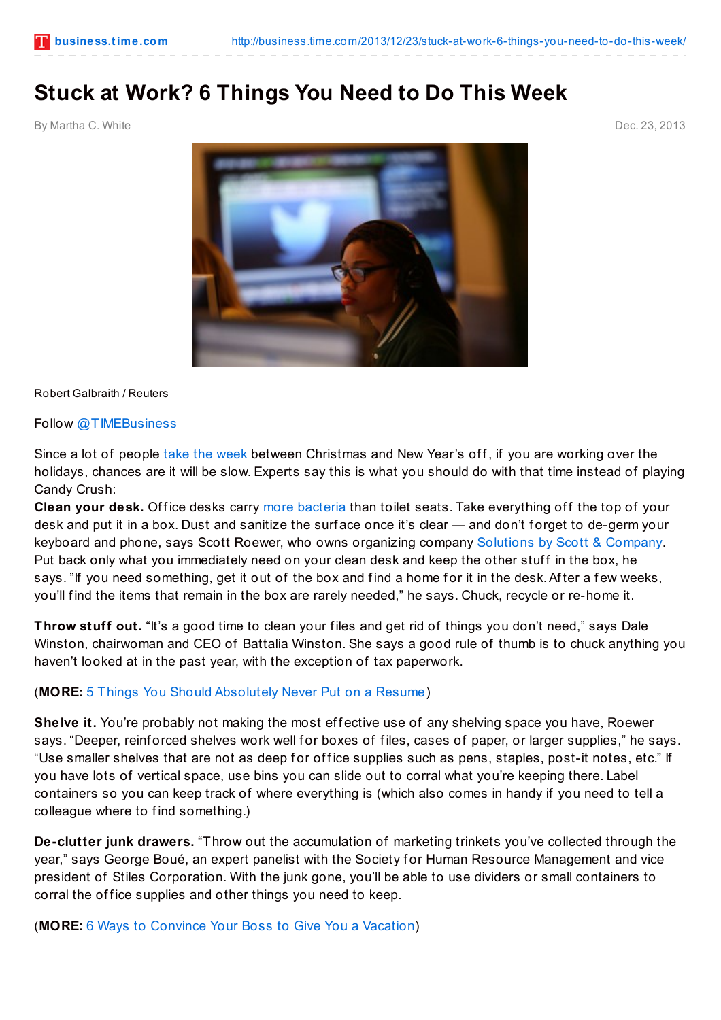## **Stuck at Work? 6 Things You Need to Do This Week**

By Martha C. White Dec. 23, 2013



Robert Galbraith / Reuters

Follow [@TIMEBusiness](http://twitter.com/TIMEBusiness)

Since a lot of people take the [week](http://business.time.com/2013/12/16/6-ways-to-convince-your-boss-to-give-you-a-vacation/?iid=biz-main-belt) between Christmas and New Year's off, if you are working over the holidays, chances are it will be slow. Experts say this is what you should do with that time instead of playing Candy Crush:

**Clean your desk.** Of fice desks carry more [bacteria](http://www.cnn.com/2004/HEALTH/12/13/cold.flu.desk/) than toilet seats. Take everything off the top of your desk and put it in a box. Dust and sanitize the surface once it's clear — and don't forget to de-germ your keyboard and phone, says Scott Roewer, who owns organizing company [Solutions](http:/) by Scott & Company. Put back only what you immediately need on your clean desk and keep the other stuff in the box, he says. "If you need something, get it out of the box and find a home for it in the desk. After a few weeks, you'll f ind the items that remain in the box are rarely needed," he says. Chuck, recycle or re-home it.

**Throw stuff out.** "It's a good time to clean your files and get rid of things you don't need," says Dale Winston, chairwoman and CEO of Battalia Winston. She says a good rule of thumb is to chuck anything you haven't looked at in the past year, with the exception of tax paperwork.

## (**MORE:** 5 Things You Should [Absolutely](http://business.time.com/2013/11/11/5-things-you-should-absolutely-never-put-on-a-resume/) Never Put on a Resume)

**Shelve it.** You're probably not making the most effective use of any shelving space you have, Roewer says. "Deeper, reinforced shelves work well for boxes of files, cases of paper, or larger supplies," he says. "Use smaller shelves that are not as deep for office supplies such as pens, staples, post-it notes, etc." If you have lots of vertical space, use bins you can slide out to corral what you're keeping there. Label containers so you can keep track of where everything is (which also comes in handy if you need to tell a colleague where to find something.)

**De-clutter junk drawers.** "Throw out the accumulation of marketing trinkets you've collected through the year," says George Boué, an expert panelist with the Society for Human Resource Management and vice president of Stiles Corporation. With the junk gone, you'll be able to use dividers or small containers to corral the office supplies and other things you need to keep.

(**MORE:** 6 Ways to [Convince](http://business.time.com/2013/12/16/6-ways-to-convince-your-boss-to-give-you-a-vacation) Your Boss to Give You a Vacation)